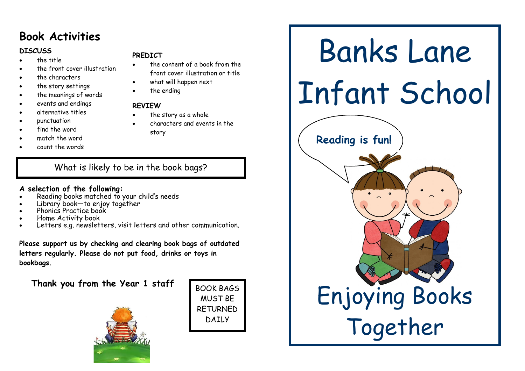### **Book Activities**

#### **DISCUSS**

- the title
- the front cover illustration
- the characters
- the story settings
- the meanings of words
- events and endings
- alternative titles
- punctuation
- find the word
- match the word
- count the words

#### **PREDICT**

- the content of a book from the front cover illustration or title
- what will happen next
- the ending

#### **REVIEW**

- the story as a whole
- characters and events in the story

What is likely to be in the book bags?

#### **A selection of the following:**

- Reading books matched to your child's needs
- Library book—to enjoy together
- Phonics Practice book
- Home Activity book
- Letters e.g. newsletters, visit letters and other communication.

**Please support us by checking and clearing book bags of outdated letters regularly. Please do not put food, drinks or toys in bookbags.**

**Thank you from the Year 1 staff**





# Banks Lane Infant School Enjoying Books Together **Reading is fun!**